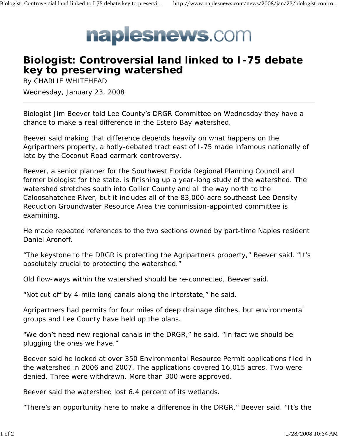

## **Biologist: Controversial land linked to I-75 debate key to preserving watershed**

By CHARLIE WHITEHEAD Wednesday, January 23, 2008

Biologist Jim Beever told Lee County's DRGR Committee on Wednesday they have a chance to make a real difference in the Estero Bay watershed.

Beever said making that difference depends heavily on what happens on the Agripartners property, a hotly-debated tract east of I-75 made infamous nationally of late by the Coconut Road earmark controversy.

Beever, a senior planner for the Southwest Florida Regional Planning Council and former biologist for the state, is finishing up a year-long study of the watershed. The watershed stretches south into Collier County and all the way north to the Caloosahatchee River, but it includes all of the 83,000-acre southeast Lee Density Reduction Groundwater Resource Area the commission-appointed committee is examining.

He made repeated references to the two sections owned by part-time Naples resident Daniel Aronoff.

"The keystone to the DRGR is protecting the Agripartners property," Beever said. "It's absolutely crucial to protecting the watershed."

Old flow-ways within the watershed should be re-connected, Beever said.

"Not cut off by 4-mile long canals along the interstate," he said.

Agripartners had permits for four miles of deep drainage ditches, but environmental groups and Lee County have held up the plans.

"We don't need new regional canals in the DRGR," he said. "In fact we should be plugging the ones we have."

Beever said he looked at over 350 Environmental Resource Permit applications filed in the watershed in 2006 and 2007. The applications covered 16,015 acres. Two were denied. Three were withdrawn. More than 300 were approved.

Beever said the watershed lost 6.4 percent of its wetlands.

"There's an opportunity here to make a difference in the DRGR," Beever said. "It's the